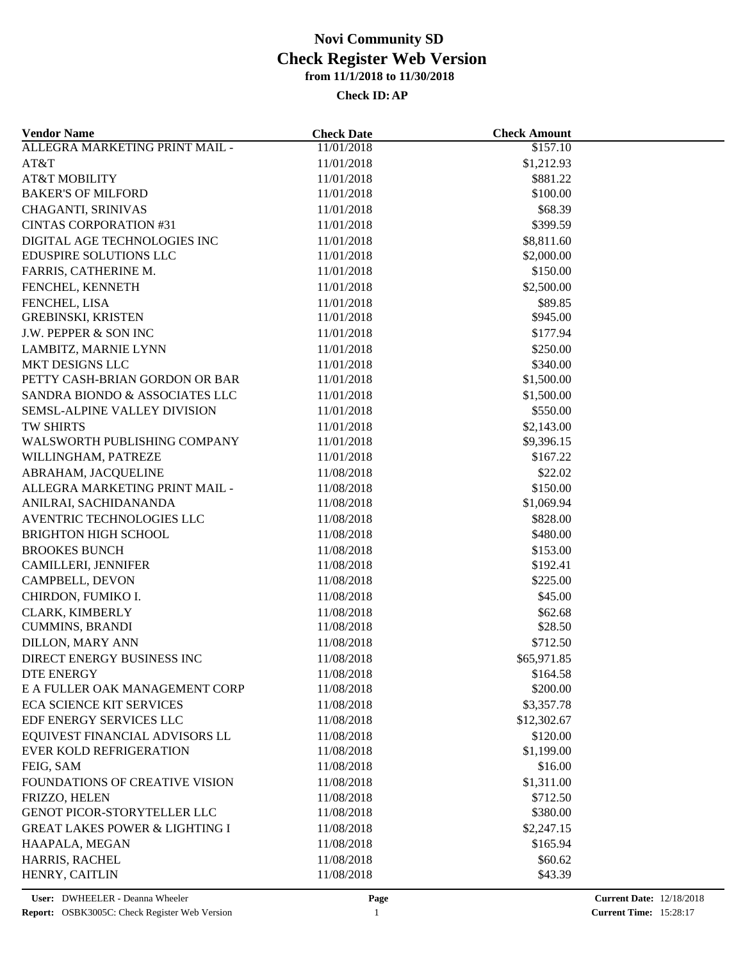| <b>Vendor Name</b>                        | <b>Check Date</b> | <b>Check Amount</b> |  |
|-------------------------------------------|-------------------|---------------------|--|
| ALLEGRA MARKETING PRINT MAIL -            | 11/01/2018        | \$157.10            |  |
| AT&T                                      | 11/01/2018        | \$1,212.93          |  |
| <b>AT&amp;T MOBILITY</b>                  | 11/01/2018        | \$881.22            |  |
| <b>BAKER'S OF MILFORD</b>                 | 11/01/2018        | \$100.00            |  |
| CHAGANTI, SRINIVAS                        | 11/01/2018        | \$68.39             |  |
| <b>CINTAS CORPORATION #31</b>             | 11/01/2018        | \$399.59            |  |
| DIGITAL AGE TECHNOLOGIES INC              | 11/01/2018        | \$8,811.60          |  |
| EDUSPIRE SOLUTIONS LLC                    | 11/01/2018        | \$2,000.00          |  |
| FARRIS, CATHERINE M.                      | 11/01/2018        | \$150.00            |  |
| FENCHEL, KENNETH                          | 11/01/2018        | \$2,500.00          |  |
| FENCHEL, LISA                             | 11/01/2018        | \$89.85             |  |
| <b>GREBINSKI, KRISTEN</b>                 | 11/01/2018        | \$945.00            |  |
| J.W. PEPPER & SON INC                     | 11/01/2018        | \$177.94            |  |
| LAMBITZ, MARNIE LYNN                      | 11/01/2018        | \$250.00            |  |
| MKT DESIGNS LLC                           | 11/01/2018        | \$340.00            |  |
| PETTY CASH-BRIAN GORDON OR BAR            | 11/01/2018        | \$1,500.00          |  |
| SANDRA BIONDO & ASSOCIATES LLC            | 11/01/2018        | \$1,500.00          |  |
| SEMSL-ALPINE VALLEY DIVISION              | 11/01/2018        | \$550.00            |  |
| TW SHIRTS                                 | 11/01/2018        | \$2,143.00          |  |
| WALSWORTH PUBLISHING COMPANY              | 11/01/2018        | \$9,396.15          |  |
| WILLINGHAM, PATREZE                       | 11/01/2018        | \$167.22            |  |
| ABRAHAM, JACQUELINE                       | 11/08/2018        | \$22.02             |  |
| ALLEGRA MARKETING PRINT MAIL -            | 11/08/2018        | \$150.00            |  |
| ANILRAI, SACHIDANANDA                     | 11/08/2018        | \$1,069.94          |  |
| AVENTRIC TECHNOLOGIES LLC                 | 11/08/2018        | \$828.00            |  |
| <b>BRIGHTON HIGH SCHOOL</b>               | 11/08/2018        | \$480.00            |  |
| <b>BROOKES BUNCH</b>                      | 11/08/2018        | \$153.00            |  |
| CAMILLERI, JENNIFER                       | 11/08/2018        | \$192.41            |  |
| CAMPBELL, DEVON                           | 11/08/2018        | \$225.00            |  |
| CHIRDON, FUMIKO I.                        | 11/08/2018        | \$45.00             |  |
| CLARK, KIMBERLY                           | 11/08/2018        | \$62.68             |  |
| <b>CUMMINS, BRANDI</b>                    | 11/08/2018        | \$28.50             |  |
| <b>DILLON, MARY ANN</b>                   | 11/08/2018        | \$712.50            |  |
| DIRECT ENERGY BUSINESS INC                | 11/08/2018        | \$65,971.85         |  |
| DTE ENERGY                                | 11/08/2018        | \$164.58            |  |
| E A FULLER OAK MANAGEMENT CORP            | 11/08/2018        | \$200.00            |  |
| <b>ECA SCIENCE KIT SERVICES</b>           | 11/08/2018        | \$3,357.78          |  |
| EDF ENERGY SERVICES LLC                   | 11/08/2018        | \$12,302.67         |  |
| EQUIVEST FINANCIAL ADVISORS LL            | 11/08/2018        | \$120.00            |  |
| <b>EVER KOLD REFRIGERATION</b>            | 11/08/2018        | \$1,199.00          |  |
| FEIG, SAM                                 | 11/08/2018        | \$16.00             |  |
| FOUNDATIONS OF CREATIVE VISION            |                   | \$1,311.00          |  |
|                                           | 11/08/2018        | \$712.50            |  |
| FRIZZO, HELEN                             | 11/08/2018        | \$380.00            |  |
| <b>GENOT PICOR-STORYTELLER LLC</b>        | 11/08/2018        |                     |  |
| <b>GREAT LAKES POWER &amp; LIGHTING I</b> | 11/08/2018        | \$2,247.15          |  |
| HAAPALA, MEGAN                            | 11/08/2018        | \$165.94            |  |
| HARRIS, RACHEL                            | 11/08/2018        | \$60.62             |  |
| HENRY, CAITLIN                            | 11/08/2018        | \$43.39             |  |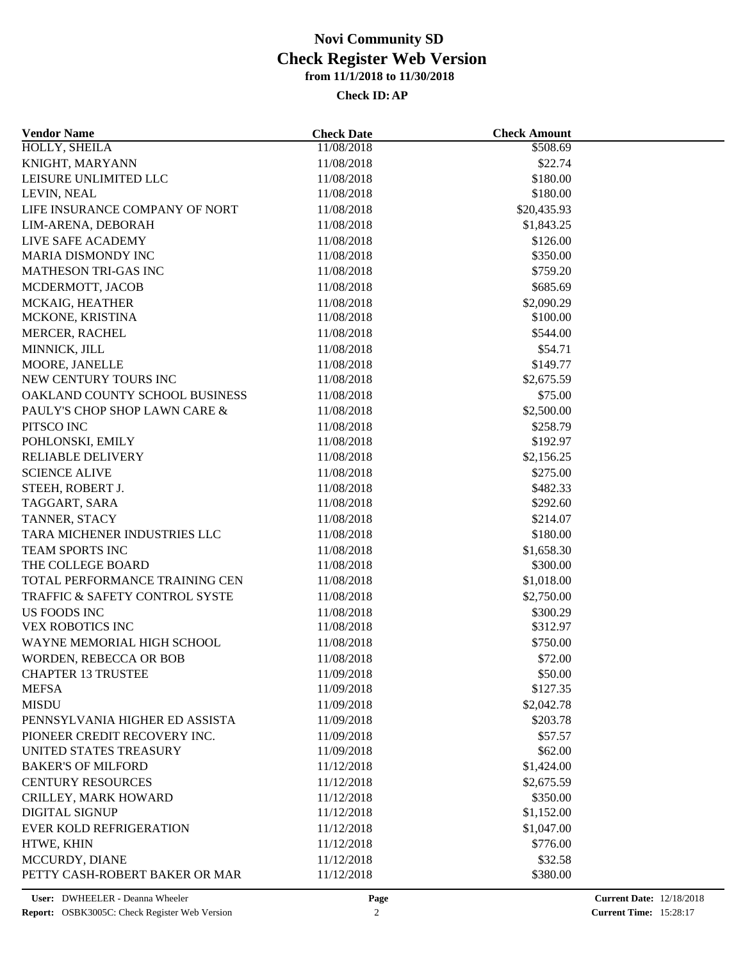| <b>Vendor Name</b>             | <b>Check Date</b>        | <b>Check Amount</b>  |  |
|--------------------------------|--------------------------|----------------------|--|
| <b>HOLLY, SHEILA</b>           | 11/08/2018               | \$508.69             |  |
| KNIGHT, MARYANN                | 11/08/2018               | \$22.74              |  |
| LEISURE UNLIMITED LLC          | 11/08/2018               | \$180.00             |  |
| LEVIN, NEAL                    | 11/08/2018               | \$180.00             |  |
| LIFE INSURANCE COMPANY OF NORT | 11/08/2018               | \$20,435.93          |  |
| LIM-ARENA, DEBORAH             | 11/08/2018               | \$1,843.25           |  |
| LIVE SAFE ACADEMY              | 11/08/2018               | \$126.00             |  |
| MARIA DISMONDY INC             | 11/08/2018               | \$350.00             |  |
| <b>MATHESON TRI-GAS INC</b>    | 11/08/2018               | \$759.20             |  |
| MCDERMOTT, JACOB               | 11/08/2018               | \$685.69             |  |
| MCKAIG, HEATHER                | 11/08/2018               | \$2,090.29           |  |
| MCKONE, KRISTINA               | 11/08/2018               | \$100.00             |  |
| <b>MERCER, RACHEL</b>          | 11/08/2018               | \$544.00             |  |
| MINNICK, JILL                  | 11/08/2018               | \$54.71              |  |
| MOORE, JANELLE                 | 11/08/2018               | \$149.77             |  |
| NEW CENTURY TOURS INC          | 11/08/2018               | \$2,675.59           |  |
| OAKLAND COUNTY SCHOOL BUSINESS | 11/08/2018               | \$75.00              |  |
| PAULY'S CHOP SHOP LAWN CARE &  | 11/08/2018               | \$2,500.00           |  |
| PITSCO INC                     | 11/08/2018               | \$258.79             |  |
| POHLONSKI, EMILY               | 11/08/2018               | \$192.97             |  |
| <b>RELIABLE DELIVERY</b>       | 11/08/2018               | \$2,156.25           |  |
| <b>SCIENCE ALIVE</b>           | 11/08/2018               | \$275.00             |  |
| STEEH, ROBERT J.               | 11/08/2018               | \$482.33             |  |
| TAGGART, SARA                  | 11/08/2018               | \$292.60             |  |
| TANNER, STACY                  | 11/08/2018               | \$214.07             |  |
| TARA MICHENER INDUSTRIES LLC   | 11/08/2018               | \$180.00             |  |
| TEAM SPORTS INC                | 11/08/2018               | \$1,658.30           |  |
| THE COLLEGE BOARD              | 11/08/2018               | \$300.00             |  |
| TOTAL PERFORMANCE TRAINING CEN | 11/08/2018               | \$1,018.00           |  |
| TRAFFIC & SAFETY CONTROL SYSTE | 11/08/2018               | \$2,750.00           |  |
| US FOODS INC                   |                          |                      |  |
| <b>VEX ROBOTICS INC</b>        | 11/08/2018<br>11/08/2018 | \$300.29<br>\$312.97 |  |
| WAYNE MEMORIAL HIGH SCHOOL     | 11/08/2018               | \$750.00             |  |
|                                |                          |                      |  |
| WORDEN, REBECCA OR BOB         | 11/08/2018               | \$72.00              |  |
| <b>CHAPTER 13 TRUSTEE</b>      | 11/09/2018               | \$50.00              |  |
| <b>MEFSA</b>                   | 11/09/2018               | \$127.35             |  |
| <b>MISDU</b>                   | 11/09/2018               | \$2,042.78           |  |
| PENNSYLVANIA HIGHER ED ASSISTA | 11/09/2018               | \$203.78             |  |
| PIONEER CREDIT RECOVERY INC.   | 11/09/2018               | \$57.57              |  |
| UNITED STATES TREASURY         | 11/09/2018               | \$62.00              |  |
| <b>BAKER'S OF MILFORD</b>      | 11/12/2018               | \$1,424.00           |  |
| <b>CENTURY RESOURCES</b>       | 11/12/2018               | \$2,675.59           |  |
| CRILLEY, MARK HOWARD           | 11/12/2018               | \$350.00             |  |
| <b>DIGITAL SIGNUP</b>          | 11/12/2018               | \$1,152.00           |  |
| EVER KOLD REFRIGERATION        | 11/12/2018               | \$1,047.00           |  |
| HTWE, KHIN                     | 11/12/2018               | \$776.00             |  |
| MCCURDY, DIANE                 | 11/12/2018               | \$32.58              |  |
| PETTY CASH-ROBERT BAKER OR MAR | 11/12/2018               | \$380.00             |  |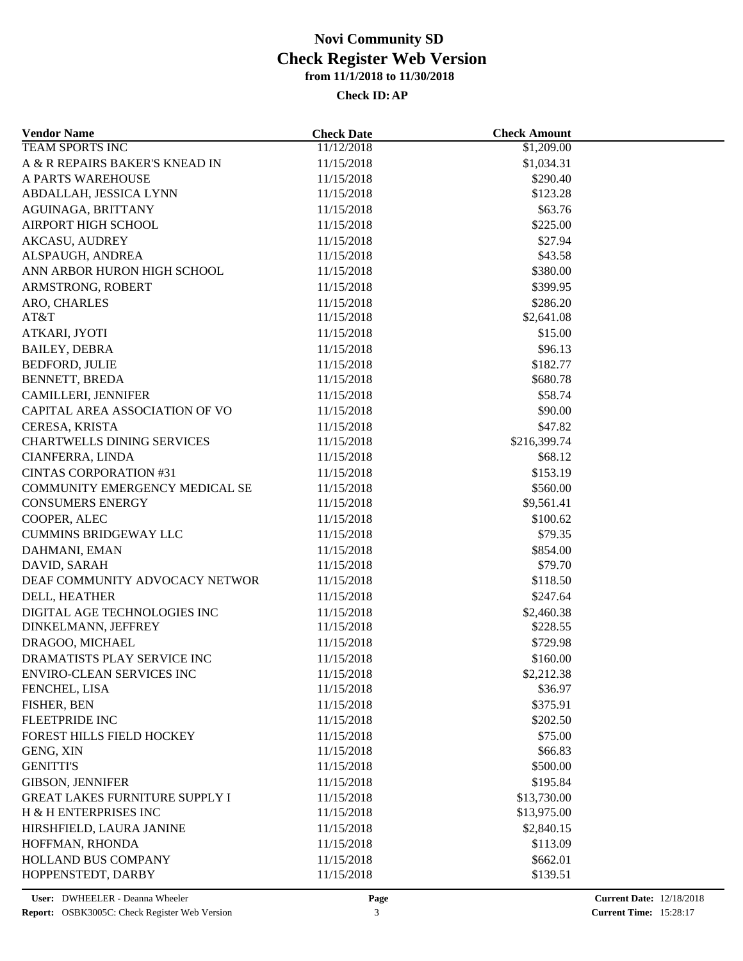| <b>Vendor Name</b>                         | <b>Check Date</b>        | <b>Check Amount</b>   |  |
|--------------------------------------------|--------------------------|-----------------------|--|
| <b>TEAM SPORTS INC</b>                     | 11/12/2018               | \$1,209.00            |  |
| A & R REPAIRS BAKER'S KNEAD IN             | 11/15/2018               | \$1,034.31            |  |
| A PARTS WAREHOUSE                          | 11/15/2018               | \$290.40              |  |
| ABDALLAH, JESSICA LYNN                     | 11/15/2018               | \$123.28              |  |
| AGUINAGA, BRITTANY                         | 11/15/2018               | \$63.76               |  |
| AIRPORT HIGH SCHOOL                        | 11/15/2018               | \$225.00              |  |
| <b>AKCASU, AUDREY</b>                      | 11/15/2018               | \$27.94               |  |
| ALSPAUGH, ANDREA                           | 11/15/2018               | \$43.58               |  |
| ANN ARBOR HURON HIGH SCHOOL                | 11/15/2018               | \$380.00              |  |
| ARMSTRONG, ROBERT                          | 11/15/2018               | \$399.95              |  |
| ARO, CHARLES                               | 11/15/2018               | \$286.20              |  |
| AT&T                                       | 11/15/2018               | \$2,641.08            |  |
| ATKARI, JYOTI                              | 11/15/2018               | \$15.00               |  |
| <b>BAILEY, DEBRA</b>                       | 11/15/2018               | \$96.13               |  |
| <b>BEDFORD, JULIE</b>                      | 11/15/2018               | \$182.77              |  |
| BENNETT, BREDA                             | 11/15/2018               | \$680.78              |  |
| CAMILLERI, JENNIFER                        | 11/15/2018               | \$58.74               |  |
| CAPITAL AREA ASSOCIATION OF VO             | 11/15/2018               | \$90.00               |  |
| CERESA, KRISTA                             | 11/15/2018               | \$47.82               |  |
| <b>CHARTWELLS DINING SERVICES</b>          | 11/15/2018               | \$216,399.74          |  |
| CIANFERRA, LINDA                           | 11/15/2018               | \$68.12               |  |
| <b>CINTAS CORPORATION #31</b>              | 11/15/2018               | \$153.19              |  |
| COMMUNITY EMERGENCY MEDICAL SE             | 11/15/2018               | \$560.00              |  |
| <b>CONSUMERS ENERGY</b>                    | 11/15/2018               | \$9,561.41            |  |
| COOPER, ALEC                               | 11/15/2018               | \$100.62              |  |
| <b>CUMMINS BRIDGEWAY LLC</b>               | 11/15/2018               | \$79.35               |  |
| DAHMANI, EMAN                              | 11/15/2018               | \$854.00              |  |
| DAVID, SARAH                               | 11/15/2018               | \$79.70               |  |
| DEAF COMMUNITY ADVOCACY NETWOR             | 11/15/2018               | \$118.50              |  |
| DELL, HEATHER                              | 11/15/2018               | \$247.64              |  |
| DIGITAL AGE TECHNOLOGIES INC               | 11/15/2018               | \$2,460.38            |  |
| DINKELMANN, JEFFREY                        | 11/15/2018               | \$228.55              |  |
| DRAGOO, MICHAEL                            | 11/15/2018               | \$729.98              |  |
| DRAMATISTS PLAY SERVICE INC                |                          |                       |  |
|                                            | 11/15/2018               | \$160.00              |  |
| ENVIRO-CLEAN SERVICES INC<br>FENCHEL, LISA | 11/15/2018<br>11/15/2018 | \$2,212.38<br>\$36.97 |  |
|                                            |                          | \$375.91              |  |
| FISHER, BEN                                | 11/15/2018               |                       |  |
| FLEETPRIDE INC                             | 11/15/2018               | \$202.50              |  |
| FOREST HILLS FIELD HOCKEY                  | 11/15/2018               | \$75.00               |  |
| GENG, XIN                                  | 11/15/2018               | \$66.83               |  |
| <b>GENITTI'S</b>                           | 11/15/2018               | \$500.00              |  |
| <b>GIBSON, JENNIFER</b>                    | 11/15/2018               | \$195.84              |  |
| <b>GREAT LAKES FURNITURE SUPPLY I</b>      | 11/15/2018               | \$13,730.00           |  |
| H & H ENTERPRISES INC                      | 11/15/2018               | \$13,975.00           |  |
| HIRSHFIELD, LAURA JANINE                   | 11/15/2018               | \$2,840.15            |  |
| HOFFMAN, RHONDA                            | 11/15/2018               | \$113.09              |  |
| HOLLAND BUS COMPANY                        | 11/15/2018               | \$662.01              |  |
| HOPPENSTEDT, DARBY                         | 11/15/2018               | \$139.51              |  |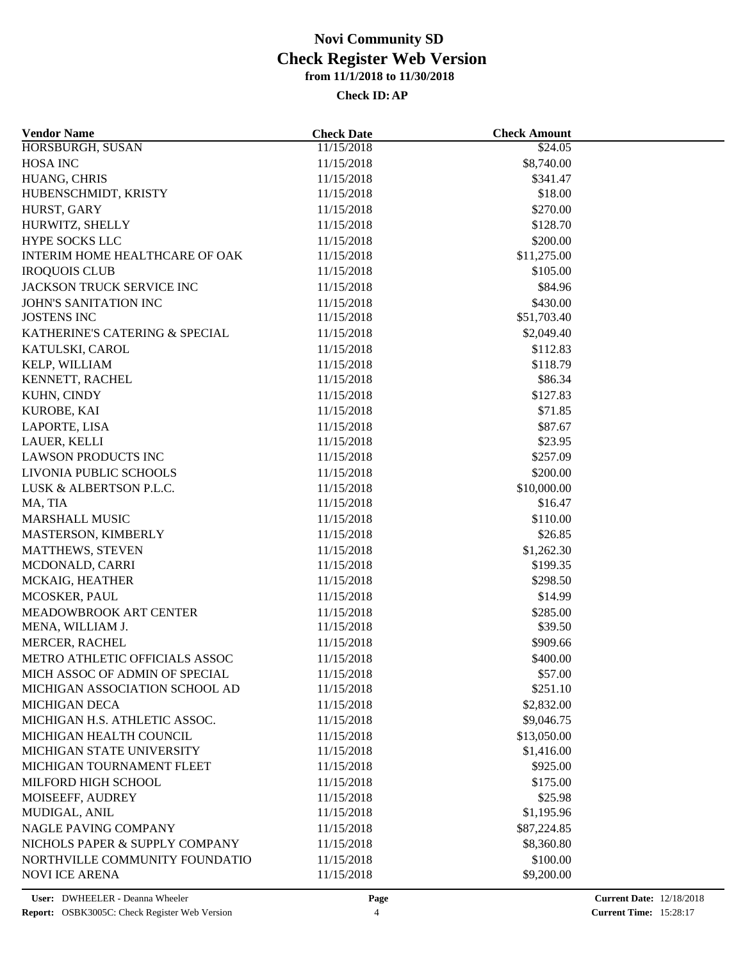| <b>Vendor Name</b>               | <b>Check Date</b> | <b>Check Amount</b> |  |
|----------------------------------|-------------------|---------------------|--|
| HORSBURGH, SUSAN                 | 11/15/2018        | \$24.05             |  |
| <b>HOSA INC</b>                  | 11/15/2018        | \$8,740.00          |  |
| HUANG, CHRIS                     | 11/15/2018        | \$341.47            |  |
| HUBENSCHMIDT, KRISTY             | 11/15/2018        | \$18.00             |  |
| HURST, GARY                      | 11/15/2018        | \$270.00            |  |
| HURWITZ, SHELLY                  | 11/15/2018        | \$128.70            |  |
| HYPE SOCKS LLC                   | 11/15/2018        | \$200.00            |  |
| INTERIM HOME HEALTHCARE OF OAK   | 11/15/2018        | \$11,275.00         |  |
| <b>IROQUOIS CLUB</b>             | 11/15/2018        | \$105.00            |  |
| <b>JACKSON TRUCK SERVICE INC</b> | 11/15/2018        | \$84.96             |  |
| <b>JOHN'S SANITATION INC</b>     | 11/15/2018        | \$430.00            |  |
| <b>JOSTENS INC</b>               | 11/15/2018        | \$51,703.40         |  |
| KATHERINE'S CATERING & SPECIAL   | 11/15/2018        | \$2,049.40          |  |
| KATULSKI, CAROL                  | 11/15/2018        | \$112.83            |  |
| KELP, WILLIAM                    | 11/15/2018        | \$118.79            |  |
| KENNETT, RACHEL                  | 11/15/2018        | \$86.34             |  |
| KUHN, CINDY                      | 11/15/2018        | \$127.83            |  |
| KUROBE, KAI                      | 11/15/2018        | \$71.85             |  |
| LAPORTE, LISA                    | 11/15/2018        | \$87.67             |  |
| LAUER, KELLI                     | 11/15/2018        | \$23.95             |  |
| <b>LAWSON PRODUCTS INC</b>       | 11/15/2018        | \$257.09            |  |
| LIVONIA PUBLIC SCHOOLS           | 11/15/2018        | \$200.00            |  |
| LUSK & ALBERTSON P.L.C.          | 11/15/2018        | \$10,000.00         |  |
| MA, TIA                          | 11/15/2018        | \$16.47             |  |
| <b>MARSHALL MUSIC</b>            | 11/15/2018        | \$110.00            |  |
| MASTERSON, KIMBERLY              | 11/15/2018        | \$26.85             |  |
| MATTHEWS, STEVEN                 | 11/15/2018        | \$1,262.30          |  |
| MCDONALD, CARRI                  | 11/15/2018        | \$199.35            |  |
| MCKAIG, HEATHER                  | 11/15/2018        | \$298.50            |  |
| MCOSKER, PAUL                    | 11/15/2018        | \$14.99             |  |
| MEADOWBROOK ART CENTER           | 11/15/2018        |                     |  |
| MENA, WILLIAM J.                 | 11/15/2018        | \$285.00<br>\$39.50 |  |
| MERCER, RACHEL                   | 11/15/2018        | \$909.66            |  |
| METRO ATHLETIC OFFICIALS ASSOC   |                   | \$400.00            |  |
|                                  | 11/15/2018        | \$57.00             |  |
| MICH ASSOC OF ADMIN OF SPECIAL   | 11/15/2018        | \$251.10            |  |
| MICHIGAN ASSOCIATION SCHOOL AD   | 11/15/2018        |                     |  |
| <b>MICHIGAN DECA</b>             | 11/15/2018        | \$2,832.00          |  |
| MICHIGAN H.S. ATHLETIC ASSOC.    | 11/15/2018        | \$9,046.75          |  |
| MICHIGAN HEALTH COUNCIL          | 11/15/2018        | \$13,050.00         |  |
| MICHIGAN STATE UNIVERSITY        | 11/15/2018        | \$1,416.00          |  |
| MICHIGAN TOURNAMENT FLEET        | 11/15/2018        | \$925.00            |  |
| MILFORD HIGH SCHOOL              | 11/15/2018        | \$175.00            |  |
| MOISEEFF, AUDREY                 | 11/15/2018        | \$25.98             |  |
| MUDIGAL, ANIL                    | 11/15/2018        | \$1,195.96          |  |
| NAGLE PAVING COMPANY             | 11/15/2018        | \$87,224.85         |  |
| NICHOLS PAPER & SUPPLY COMPANY   | 11/15/2018        | \$8,360.80          |  |
| NORTHVILLE COMMUNITY FOUNDATIO   | 11/15/2018        | \$100.00            |  |
| <b>NOVI ICE ARENA</b>            | 11/15/2018        | \$9,200.00          |  |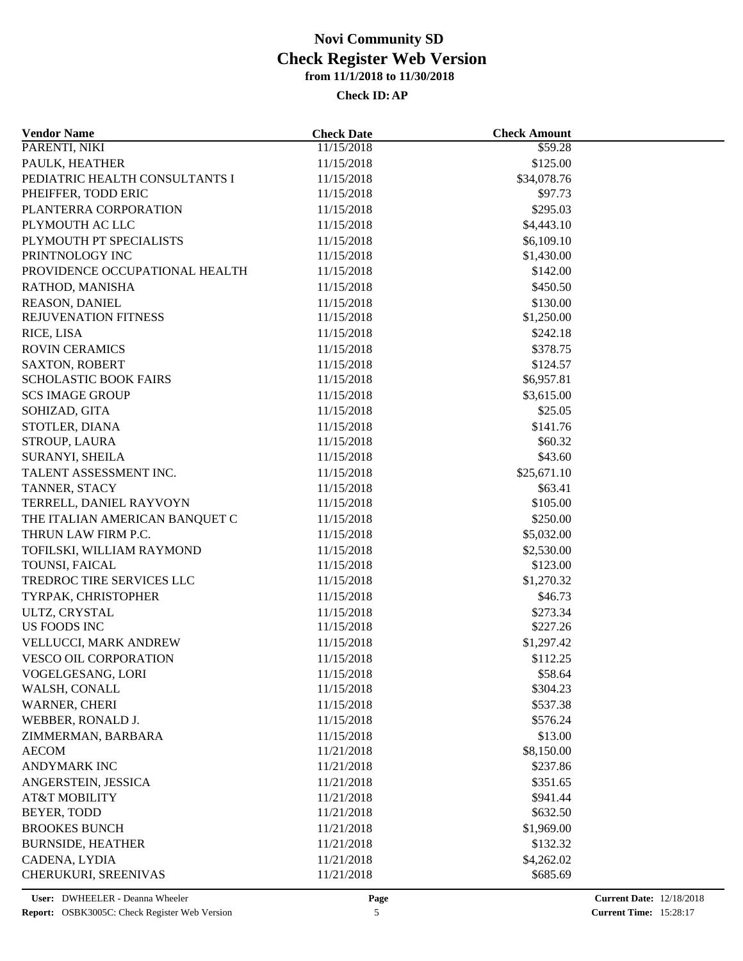| <b>Vendor Name</b>             | <b>Check Date</b>        | <b>Check Amount</b> |  |
|--------------------------------|--------------------------|---------------------|--|
| PARENTI, NIKI                  | 11/15/2018               | \$59.28             |  |
| PAULK, HEATHER                 | 11/15/2018               | \$125.00            |  |
| PEDIATRIC HEALTH CONSULTANTS I | 11/15/2018               | \$34,078.76         |  |
| PHEIFFER, TODD ERIC            | 11/15/2018               | \$97.73             |  |
| PLANTERRA CORPORATION          | 11/15/2018               | \$295.03            |  |
| PLYMOUTH AC LLC                | 11/15/2018               | \$4,443.10          |  |
| PLYMOUTH PT SPECIALISTS        | 11/15/2018               | \$6,109.10          |  |
| PRINTNOLOGY INC                | 11/15/2018               | \$1,430.00          |  |
| PROVIDENCE OCCUPATIONAL HEALTH | 11/15/2018               | \$142.00            |  |
| RATHOD, MANISHA                | 11/15/2018               | \$450.50            |  |
| REASON, DANIEL                 | 11/15/2018               | \$130.00            |  |
| REJUVENATION FITNESS           | 11/15/2018               | \$1,250.00          |  |
| RICE, LISA                     | 11/15/2018               | \$242.18            |  |
| <b>ROVIN CERAMICS</b>          | 11/15/2018               | \$378.75            |  |
| <b>SAXTON, ROBERT</b>          | 11/15/2018               | \$124.57            |  |
| <b>SCHOLASTIC BOOK FAIRS</b>   | 11/15/2018               | \$6,957.81          |  |
| <b>SCS IMAGE GROUP</b>         | 11/15/2018               | \$3,615.00          |  |
| SOHIZAD, GITA                  | 11/15/2018               | \$25.05             |  |
| STOTLER, DIANA                 | 11/15/2018               | \$141.76            |  |
| STROUP, LAURA                  | 11/15/2018               | \$60.32             |  |
| SURANYI, SHEILA                | 11/15/2018               | \$43.60             |  |
| TALENT ASSESSMENT INC.         | 11/15/2018               | \$25,671.10         |  |
| TANNER, STACY                  |                          | \$63.41             |  |
| TERRELL, DANIEL RAYVOYN        | 11/15/2018<br>11/15/2018 | \$105.00            |  |
| THE ITALIAN AMERICAN BANQUET C | 11/15/2018               | \$250.00            |  |
| THRUN LAW FIRM P.C.            |                          |                     |  |
|                                | 11/15/2018               | \$5,032.00          |  |
| TOFILSKI, WILLIAM RAYMOND      | 11/15/2018               | \$2,530.00          |  |
| TOUNSI, FAICAL                 | 11/15/2018               | \$123.00            |  |
| TREDROC TIRE SERVICES LLC      | 11/15/2018               | \$1,270.32          |  |
| TYRPAK, CHRISTOPHER            | 11/15/2018               | \$46.73             |  |
| ULTZ, CRYSTAL                  | 11/15/2018               | \$273.34            |  |
| US FOODS INC                   | 11/15/2018               | \$227.26            |  |
| VELLUCCI, MARK ANDREW          | 11/15/2018               | \$1,297.42          |  |
| <b>VESCO OIL CORPORATION</b>   | 11/15/2018               | \$112.25            |  |
| VOGELGESANG, LORI              | 11/15/2018               | \$58.64             |  |
| WALSH, CONALL                  | 11/15/2018               | \$304.23            |  |
| WARNER, CHERI                  | 11/15/2018               | \$537.38            |  |
| WEBBER, RONALD J.              | 11/15/2018               | \$576.24            |  |
| ZIMMERMAN, BARBARA             | 11/15/2018               | \$13.00             |  |
| <b>AECOM</b>                   | 11/21/2018               | \$8,150.00          |  |
| <b>ANDYMARK INC</b>            | 11/21/2018               | \$237.86            |  |
| ANGERSTEIN, JESSICA            | 11/21/2018               | \$351.65            |  |
| <b>AT&amp;T MOBILITY</b>       | 11/21/2018               | \$941.44            |  |
| BEYER, TODD                    | 11/21/2018               | \$632.50            |  |
| <b>BROOKES BUNCH</b>           | 11/21/2018               | \$1,969.00          |  |
| <b>BURNSIDE, HEATHER</b>       | 11/21/2018               | \$132.32            |  |
| CADENA, LYDIA                  | 11/21/2018               | \$4,262.02          |  |
| CHERUKURI, SREENIVAS           | 11/21/2018               | \$685.69            |  |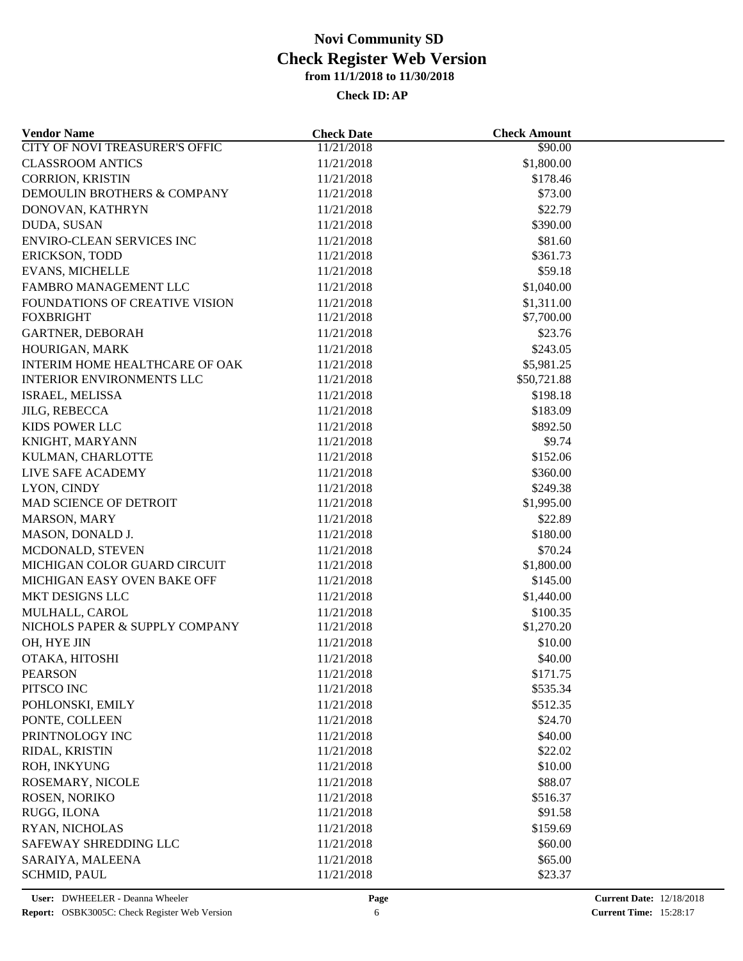| <b>Vendor Name</b>                               | <b>Check Date</b> | <b>Check Amount</b> |  |
|--------------------------------------------------|-------------------|---------------------|--|
| <b>CITY OF NOVI TREASURER'S OFFIC</b>            | 11/21/2018        | \$90.00             |  |
| <b>CLASSROOM ANTICS</b>                          | 11/21/2018        | \$1,800.00          |  |
| <b>CORRION, KRISTIN</b>                          | 11/21/2018        | \$178.46            |  |
| DEMOULIN BROTHERS & COMPANY                      | 11/21/2018        | \$73.00             |  |
| DONOVAN, KATHRYN                                 | 11/21/2018        | \$22.79             |  |
| DUDA, SUSAN                                      | 11/21/2018        | \$390.00            |  |
| ENVIRO-CLEAN SERVICES INC                        | 11/21/2018        | \$81.60             |  |
| ERICKSON, TODD                                   | 11/21/2018        | \$361.73            |  |
| <b>EVANS, MICHELLE</b>                           | 11/21/2018        | \$59.18             |  |
| FAMBRO MANAGEMENT LLC                            | 11/21/2018        | \$1,040.00          |  |
| FOUNDATIONS OF CREATIVE VISION                   | 11/21/2018        | \$1,311.00          |  |
| <b>FOXBRIGHT</b>                                 | 11/21/2018        | \$7,700.00          |  |
| <b>GARTNER, DEBORAH</b>                          | 11/21/2018        | \$23.76             |  |
| HOURIGAN, MARK                                   | 11/21/2018        | \$243.05            |  |
| INTERIM HOME HEALTHCARE OF OAK                   | 11/21/2018        | \$5,981.25          |  |
| <b>INTERIOR ENVIRONMENTS LLC</b>                 | 11/21/2018        | \$50,721.88         |  |
| ISRAEL, MELISSA                                  | 11/21/2018        | \$198.18            |  |
| <b>JILG, REBECCA</b>                             | 11/21/2018        | \$183.09            |  |
| KIDS POWER LLC                                   | 11/21/2018        | \$892.50            |  |
| KNIGHT, MARYANN                                  | 11/21/2018        | \$9.74              |  |
| KULMAN, CHARLOTTE                                | 11/21/2018        | \$152.06            |  |
| LIVE SAFE ACADEMY                                | 11/21/2018        | \$360.00            |  |
| LYON, CINDY                                      | 11/21/2018        | \$249.38            |  |
| MAD SCIENCE OF DETROIT                           | 11/21/2018        | \$1,995.00          |  |
| MARSON, MARY                                     | 11/21/2018        | \$22.89             |  |
| MASON, DONALD J.                                 | 11/21/2018        | \$180.00            |  |
| MCDONALD, STEVEN                                 | 11/21/2018        | \$70.24             |  |
| MICHIGAN COLOR GUARD CIRCUIT                     | 11/21/2018        | \$1,800.00          |  |
| MICHIGAN EASY OVEN BAKE OFF                      | 11/21/2018        | \$145.00            |  |
| MKT DESIGNS LLC                                  | 11/21/2018        | \$1,440.00          |  |
|                                                  | 11/21/2018        | \$100.35            |  |
| MULHALL, CAROL<br>NICHOLS PAPER & SUPPLY COMPANY | 11/21/2018        | \$1,270.20          |  |
| OH, HYE JIN                                      | 11/21/2018        | \$10.00             |  |
|                                                  | 11/21/2018        | \$40.00             |  |
| OTAKA, HITOSHI                                   |                   |                     |  |
| PEARSON                                          | 11/21/2018        | \$171.75            |  |
| PITSCO INC                                       | 11/21/2018        | \$535.34            |  |
| POHLONSKI, EMILY                                 | 11/21/2018        | \$512.35            |  |
| PONTE, COLLEEN                                   | 11/21/2018        | \$24.70             |  |
| PRINTNOLOGY INC                                  | 11/21/2018        | \$40.00             |  |
| RIDAL, KRISTIN                                   | 11/21/2018        | \$22.02             |  |
| ROH, INKYUNG                                     | 11/21/2018        | \$10.00             |  |
| ROSEMARY, NICOLE                                 | 11/21/2018        | \$88.07             |  |
| ROSEN, NORIKO                                    | 11/21/2018        | \$516.37            |  |
| RUGG, ILONA                                      | 11/21/2018        | \$91.58             |  |
| RYAN, NICHOLAS                                   | 11/21/2018        | \$159.69            |  |
| SAFEWAY SHREDDING LLC                            | 11/21/2018        | \$60.00             |  |
| SARAIYA, MALEENA                                 | 11/21/2018        | \$65.00             |  |
| <b>SCHMID, PAUL</b>                              | 11/21/2018        | \$23.37             |  |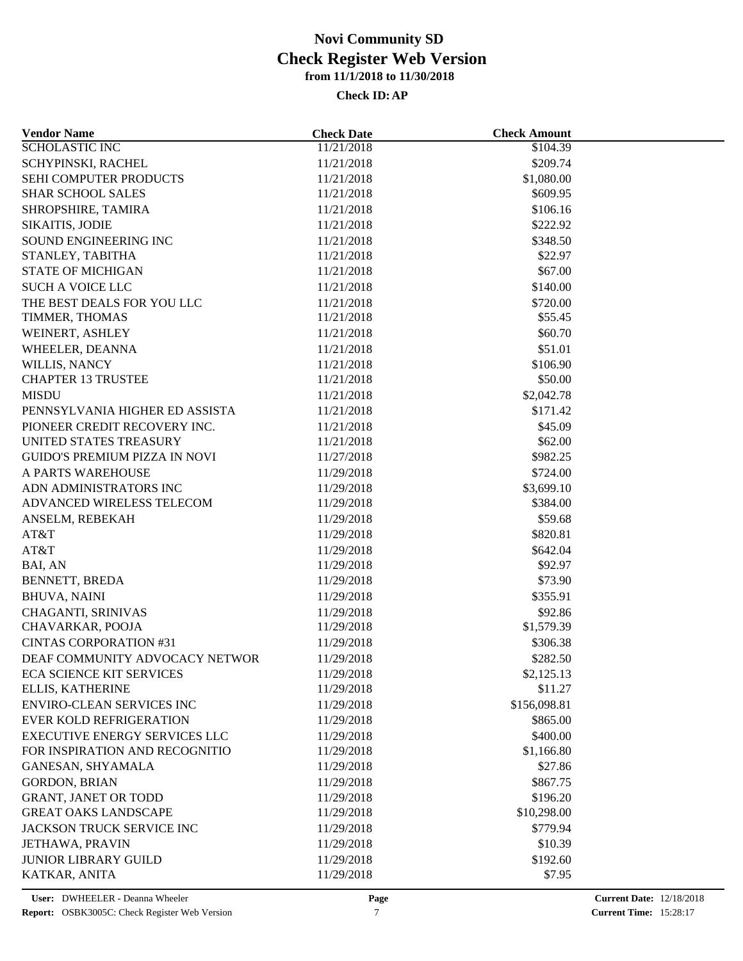| <b>Vendor Name</b>                   | <b>Check Date</b> | <b>Check Amount</b> |  |
|--------------------------------------|-------------------|---------------------|--|
| <b>SCHOLASTIC INC</b>                | 11/21/2018        | \$104.39            |  |
| SCHYPINSKI, RACHEL                   | 11/21/2018        | \$209.74            |  |
| SEHI COMPUTER PRODUCTS               | 11/21/2018        | \$1,080.00          |  |
| <b>SHAR SCHOOL SALES</b>             | 11/21/2018        | \$609.95            |  |
| SHROPSHIRE, TAMIRA                   | 11/21/2018        | \$106.16            |  |
| SIKAITIS, JODIE                      | 11/21/2018        | \$222.92            |  |
| SOUND ENGINEERING INC                | 11/21/2018        | \$348.50            |  |
| STANLEY, TABITHA                     | 11/21/2018        | \$22.97             |  |
| <b>STATE OF MICHIGAN</b>             | 11/21/2018        | \$67.00             |  |
| <b>SUCH A VOICE LLC</b>              | 11/21/2018        | \$140.00            |  |
| THE BEST DEALS FOR YOU LLC           | 11/21/2018        | \$720.00            |  |
| TIMMER, THOMAS                       | 11/21/2018        | \$55.45             |  |
| WEINERT, ASHLEY                      | 11/21/2018        | \$60.70             |  |
| WHEELER, DEANNA                      | 11/21/2018        | \$51.01             |  |
| WILLIS, NANCY                        | 11/21/2018        | \$106.90            |  |
| <b>CHAPTER 13 TRUSTEE</b>            | 11/21/2018        | \$50.00             |  |
| <b>MISDU</b>                         | 11/21/2018        | \$2,042.78          |  |
| PENNSYLVANIA HIGHER ED ASSISTA       | 11/21/2018        | \$171.42            |  |
| PIONEER CREDIT RECOVERY INC.         | 11/21/2018        | \$45.09             |  |
| UNITED STATES TREASURY               | 11/21/2018        | \$62.00             |  |
| <b>GUIDO'S PREMIUM PIZZA IN NOVI</b> | 11/27/2018        | \$982.25            |  |
| A PARTS WAREHOUSE                    | 11/29/2018        | \$724.00            |  |
| ADN ADMINISTRATORS INC               | 11/29/2018        | \$3,699.10          |  |
| ADVANCED WIRELESS TELECOM            | 11/29/2018        | \$384.00            |  |
| ANSELM, REBEKAH                      | 11/29/2018        | \$59.68             |  |
| AT&T                                 | 11/29/2018        | \$820.81            |  |
| AT&T                                 | 11/29/2018        |                     |  |
| BAI, AN                              | 11/29/2018        | \$642.04<br>\$92.97 |  |
| BENNETT, BREDA                       | 11/29/2018        | \$73.90             |  |
|                                      |                   |                     |  |
| <b>BHUVA, NAINI</b>                  | 11/29/2018        | \$355.91            |  |
| <b>CHAGANTI, SRINIVAS</b>            | 11/29/2018        | \$92.86             |  |
| CHAVARKAR, POOJA                     | 11/29/2018        | \$1,579.39          |  |
| <b>CINTAS CORPORATION #31</b>        | 11/29/2018        | \$306.38            |  |
| DEAF COMMUNITY ADVOCACY NETWOR       | 11/29/2018        | \$282.50            |  |
| <b>ECA SCIENCE KIT SERVICES</b>      | 11/29/2018        | \$2,125.13          |  |
| ELLIS, KATHERINE                     | 11/29/2018        | \$11.27             |  |
| ENVIRO-CLEAN SERVICES INC            | 11/29/2018        | \$156,098.81        |  |
| <b>EVER KOLD REFRIGERATION</b>       | 11/29/2018        | \$865.00            |  |
| <b>EXECUTIVE ENERGY SERVICES LLC</b> | 11/29/2018        | \$400.00            |  |
| FOR INSPIRATION AND RECOGNITIO       | 11/29/2018        | \$1,166.80          |  |
| GANESAN, SHYAMALA                    | 11/29/2018        | \$27.86             |  |
| <b>GORDON, BRIAN</b>                 | 11/29/2018        | \$867.75            |  |
| <b>GRANT, JANET OR TODD</b>          | 11/29/2018        | \$196.20            |  |
| <b>GREAT OAKS LANDSCAPE</b>          | 11/29/2018        | \$10,298.00         |  |
| JACKSON TRUCK SERVICE INC            | 11/29/2018        | \$779.94            |  |
| <b>JETHAWA, PRAVIN</b>               | 11/29/2018        | \$10.39             |  |
| <b>JUNIOR LIBRARY GUILD</b>          | 11/29/2018        | \$192.60            |  |
| KATKAR, ANITA                        | 11/29/2018        | \$7.95              |  |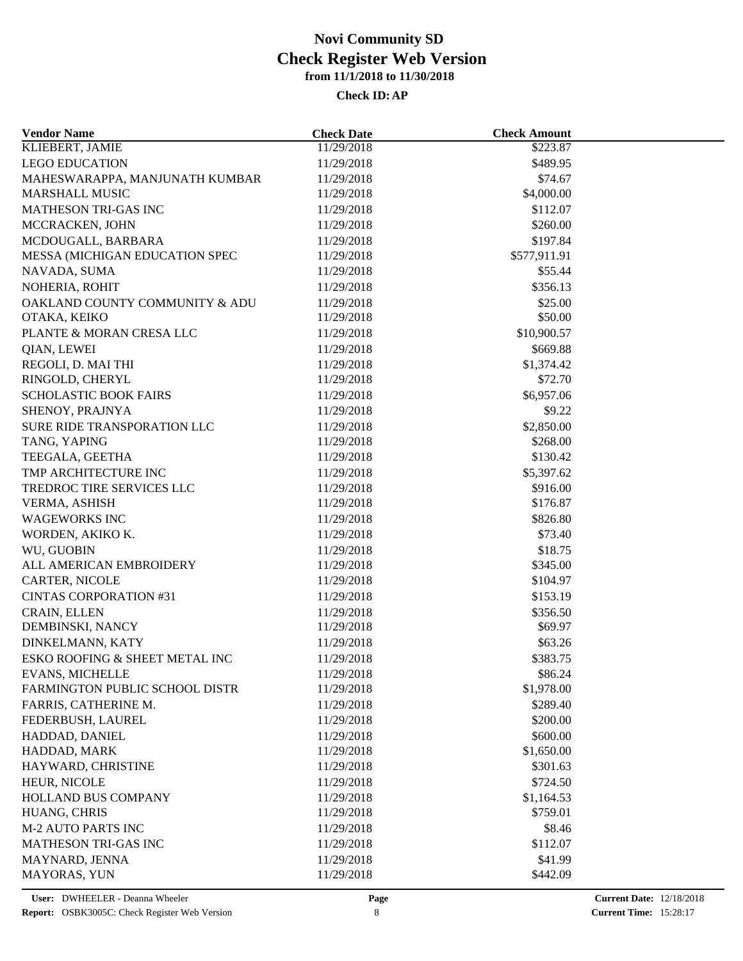| <b>Vendor Name</b>             | <b>Check Date</b> | <b>Check Amount</b> |  |
|--------------------------------|-------------------|---------------------|--|
| <b>KLIEBERT, JAMIE</b>         | 11/29/2018        | \$223.87            |  |
| <b>LEGO EDUCATION</b>          | 11/29/2018        | \$489.95            |  |
| MAHESWARAPPA, MANJUNATH KUMBAR | 11/29/2018        | \$74.67             |  |
| <b>MARSHALL MUSIC</b>          | 11/29/2018        | \$4,000.00          |  |
| MATHESON TRI-GAS INC           | 11/29/2018        | \$112.07            |  |
| MCCRACKEN, JOHN                | 11/29/2018        | \$260.00            |  |
| MCDOUGALL, BARBARA             | 11/29/2018        | \$197.84            |  |
| MESSA (MICHIGAN EDUCATION SPEC | 11/29/2018        | \$577,911.91        |  |
| NAVADA, SUMA                   | 11/29/2018        | \$55.44             |  |
| NOHERIA, ROHIT                 | 11/29/2018        | \$356.13            |  |
| OAKLAND COUNTY COMMUNITY & ADU | 11/29/2018        | \$25.00             |  |
| OTAKA, KEIKO                   | 11/29/2018        | \$50.00             |  |
| PLANTE & MORAN CRESA LLC       | 11/29/2018        | \$10,900.57         |  |
| QIAN, LEWEI                    | 11/29/2018        | \$669.88            |  |
| REGOLI, D. MAI THI             | 11/29/2018        | \$1,374.42          |  |
| RINGOLD, CHERYL                | 11/29/2018        | \$72.70             |  |
| <b>SCHOLASTIC BOOK FAIRS</b>   | 11/29/2018        | \$6,957.06          |  |
| SHENOY, PRAJNYA                | 11/29/2018        | \$9.22              |  |
| SURE RIDE TRANSPORATION LLC    | 11/29/2018        | \$2,850.00          |  |
| TANG, YAPING                   | 11/29/2018        | \$268.00            |  |
| TEEGALA, GEETHA                | 11/29/2018        | \$130.42            |  |
| TMP ARCHITECTURE INC           |                   |                     |  |
|                                | 11/29/2018        | \$5,397.62          |  |
| TREDROC TIRE SERVICES LLC      | 11/29/2018        | \$916.00            |  |
| VERMA, ASHISH                  | 11/29/2018        | \$176.87            |  |
| <b>WAGEWORKS INC</b>           | 11/29/2018        | \$826.80            |  |
| WORDEN, AKIKO K.               | 11/29/2018        | \$73.40             |  |
| WU, GUOBIN                     | 11/29/2018        | \$18.75             |  |
| ALL AMERICAN EMBROIDERY        | 11/29/2018        | \$345.00            |  |
| CARTER, NICOLE                 | 11/29/2018        | \$104.97            |  |
| <b>CINTAS CORPORATION #31</b>  | 11/29/2018        | \$153.19            |  |
| CRAIN, ELLEN                   | 11/29/2018        | \$356.50            |  |
| DEMBINSKI, NANCY               | 11/29/2018        | \$69.97             |  |
| DINKELMANN, KATY               | 11/29/2018        | \$63.26             |  |
| ESKO ROOFING & SHEET METAL INC | 11/29/2018        | \$383.75            |  |
| <b>EVANS, MICHELLE</b>         | 11/29/2018        | \$86.24             |  |
| FARMINGTON PUBLIC SCHOOL DISTR | 11/29/2018        | \$1,978.00          |  |
| FARRIS, CATHERINE M.           | 11/29/2018        | \$289.40            |  |
| FEDERBUSH, LAUREL              | 11/29/2018        | \$200.00            |  |
| HADDAD, DANIEL                 | 11/29/2018        | \$600.00            |  |
| HADDAD, MARK                   | 11/29/2018        | \$1,650.00          |  |
| HAYWARD, CHRISTINE             | 11/29/2018        | \$301.63            |  |
| HEUR, NICOLE                   | 11/29/2018        | \$724.50            |  |
| HOLLAND BUS COMPANY            | 11/29/2018        | \$1,164.53          |  |
| HUANG, CHRIS                   | 11/29/2018        | \$759.01            |  |
| <b>M-2 AUTO PARTS INC</b>      | 11/29/2018        | \$8.46              |  |
| MATHESON TRI-GAS INC           | 11/29/2018        | \$112.07            |  |
| MAYNARD, JENNA                 | 11/29/2018        | \$41.99             |  |
| MAYORAS, YUN                   | 11/29/2018        | \$442.09            |  |
|                                |                   |                     |  |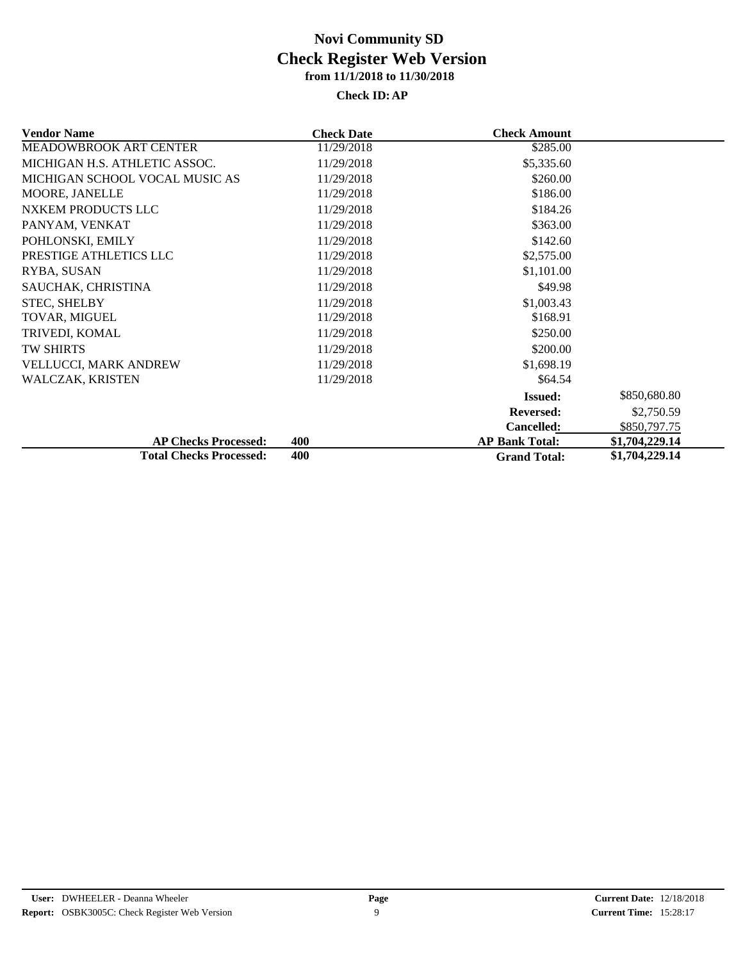| <b>Vendor Name</b>             | <b>Check Date</b> | <b>Check Amount</b>   |                |
|--------------------------------|-------------------|-----------------------|----------------|
| MEADOWBROOK ART CENTER         | 11/29/2018        | \$285.00              |                |
| MICHIGAN H.S. ATHLETIC ASSOC.  | 11/29/2018        | \$5,335.60            |                |
| MICHIGAN SCHOOL VOCAL MUSIC AS | 11/29/2018        | \$260.00              |                |
| MOORE, JANELLE                 | 11/29/2018        | \$186.00              |                |
| NXKEM PRODUCTS LLC             | 11/29/2018        | \$184.26              |                |
| PANYAM, VENKAT                 | 11/29/2018        | \$363.00              |                |
| POHLONSKI, EMILY               | 11/29/2018        | \$142.60              |                |
| PRESTIGE ATHLETICS LLC         | 11/29/2018        | \$2,575.00            |                |
| RYBA, SUSAN                    | 11/29/2018        | \$1,101.00            |                |
| SAUCHAK, CHRISTINA             | 11/29/2018        | \$49.98               |                |
| <b>STEC, SHELBY</b>            | 11/29/2018        | \$1,003.43            |                |
| <b>TOVAR, MIGUEL</b>           | 11/29/2018        | \$168.91              |                |
| TRIVEDI, KOMAL                 | 11/29/2018        | \$250.00              |                |
| <b>TW SHIRTS</b>               | 11/29/2018        | \$200.00              |                |
| <b>VELLUCCI, MARK ANDREW</b>   | 11/29/2018        | \$1,698.19            |                |
| WALCZAK, KRISTEN               | 11/29/2018        | \$64.54               |                |
|                                |                   | <b>Issued:</b>        | \$850,680.80   |
|                                |                   | <b>Reversed:</b>      | \$2,750.59     |
|                                |                   | <b>Cancelled:</b>     | \$850,797.75   |
| <b>AP Checks Processed:</b>    | 400               | <b>AP Bank Total:</b> | \$1,704,229.14 |
| <b>Total Checks Processed:</b> | 400               | <b>Grand Total:</b>   | \$1,704,229.14 |